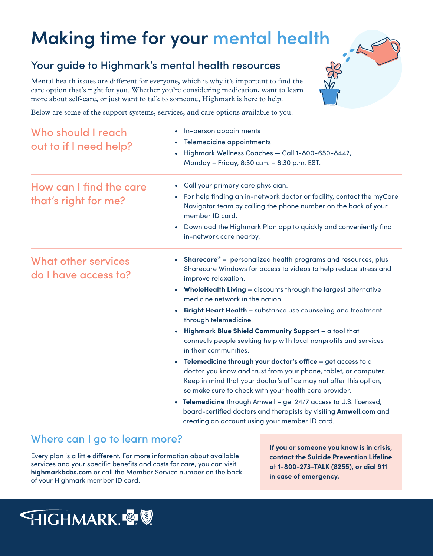## **Making time for your mental health**

## Your guide to Highmark's mental health resources

Mental health issues are different for everyone, which is why it's important to find the care option that's right for you. Whether you're considering medication, want to learn more about self-care, or just want to talk to someone, Highmark is here to help.

Below are some of the support systems, services, and care options available to you.

| Who should I reach<br>out to if I need help?    | In-person appointments<br>$\bullet$<br>Telemedicine appointments<br>$\bullet$<br>Highmark Wellness Coaches - Call 1-800-650-8442,<br>$\bullet$<br>Monday - Friday, 8:30 a.m. - 8:30 p.m. EST.                                                                                                                                                                                                                                                                                                                                                          |
|-------------------------------------------------|--------------------------------------------------------------------------------------------------------------------------------------------------------------------------------------------------------------------------------------------------------------------------------------------------------------------------------------------------------------------------------------------------------------------------------------------------------------------------------------------------------------------------------------------------------|
| How can I find the care<br>that's right for me? | Call your primary care physician.<br>$\bullet$<br>For help finding an in-network doctor or facility, contact the myCare<br>$\bullet$<br>Navigator team by calling the phone number on the back of your<br>member ID card.<br>Download the Highmark Plan app to quickly and conveniently find<br>in-network care nearby.                                                                                                                                                                                                                                |
| What other services<br>do I have access to?     | Sharecare® - personalized health programs and resources, plus<br>$\bullet$<br>Sharecare Windows for access to videos to help reduce stress and<br>improve relaxation.<br>• WholeHealth Living - discounts through the largest alternative<br>medicine network in the nation.<br><b>Bright Heart Health - substance use counseling and treatment</b><br>$\bullet$<br>through telemedicine.<br>Highmark Blue Shield Community Support - a tool that                                                                                                      |
|                                                 | connects people seeking help with local nonprofits and services<br>in their communities.<br>• Telemedicine through your doctor's office - get access to a<br>doctor you know and trust from your phone, tablet, or computer.<br>Keep in mind that your doctor's office may not offer this option,<br>so make sure to check with your health care provider.<br>• Telemedicine through Amwell - get 24/7 access to U.S. licensed,<br>board-certified doctors and therapists by visiting Amwell.com and<br>creating an account using your member ID card. |

## **Where can I go to learn more?**

**Every plan is a little different. For more information about available services and your specific benefits and costs for care, you can visit highmarkbcbs.com or call the Member Service number on the back of your Highmark member ID card.**

**If you or someone you know is in crisis, contact the Suicide Prevention Lifeline at 1-800-273-TALK (8255), or dial 911 in case of emergency.**

 $\frac{1}{2}$